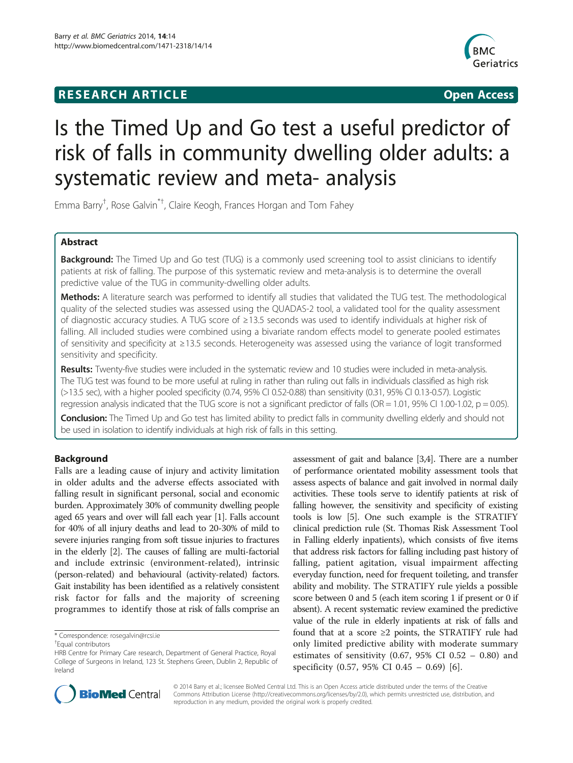# **RESEARCH ARTICLE Example 2008 CONSIDERING CONSIDERING CONSIDERING CONSIDERING CONSIDERING CONSIDERING CONSIDERING CONSIDERING CONSIDERING CONSIDERING CONSIDERING CONSIDERING CONSIDERING CONSIDERING CONSIDERING CONSIDE**



# Is the Timed Up and Go test a useful predictor of risk of falls in community dwelling older adults: a systematic review and meta- analysis

Emma Barry† , Rose Galvin\*† , Claire Keogh, Frances Horgan and Tom Fahey

# Abstract

Background: The Timed Up and Go test (TUG) is a commonly used screening tool to assist clinicians to identify patients at risk of falling. The purpose of this systematic review and meta-analysis is to determine the overall predictive value of the TUG in community-dwelling older adults.

Methods: A literature search was performed to identify all studies that validated the TUG test. The methodological quality of the selected studies was assessed using the QUADAS-2 tool, a validated tool for the quality assessment of diagnostic accuracy studies. A TUG score of ≥13.5 seconds was used to identify individuals at higher risk of falling. All included studies were combined using a bivariate random effects model to generate pooled estimates of sensitivity and specificity at ≥13.5 seconds. Heterogeneity was assessed using the variance of logit transformed sensitivity and specificity.

Results: Twenty-five studies were included in the systematic review and 10 studies were included in meta-analysis. The TUG test was found to be more useful at ruling in rather than ruling out falls in individuals classified as high risk (>13.5 sec), with a higher pooled specificity (0.74, 95% CI 0.52-0.88) than sensitivity (0.31, 95% CI 0.13-0.57). Logistic regression analysis indicated that the TUG score is not a significant predictor of falls ( $OR = 1.01$ ,  $95\%$  CI 1.00-1.02,  $p = 0.05$ ).

**Conclusion:** The Timed Up and Go test has limited ability to predict falls in community dwelling elderly and should not be used in isolation to identify individuals at high risk of falls in this setting.

# Background

Falls are a leading cause of injury and activity limitation in older adults and the adverse effects associated with falling result in significant personal, social and economic burden. Approximately 30% of community dwelling people aged 65 years and over will fall each year [\[1\]](#page-12-0). Falls account for 40% of all injury deaths and lead to 20-30% of mild to severe injuries ranging from soft tissue injuries to fractures in the elderly [\[2\]](#page-12-0). The causes of falling are multi-factorial and include extrinsic (environment-related), intrinsic (person-related) and behavioural (activity-related) factors. Gait instability has been identified as a relatively consistent risk factor for falls and the majority of screening programmes to identify those at risk of falls comprise an

\* Correspondence: [rosegalvin@rcsi.ie](mailto:rosegalvin@rcsi.ie) †

assessment of gait and balance [\[3,4\]](#page-12-0). There are a number of performance orientated mobility assessment tools that assess aspects of balance and gait involved in normal daily activities. These tools serve to identify patients at risk of falling however, the sensitivity and specificity of existing tools is low [[5\]](#page-12-0). One such example is the STRATIFY clinical prediction rule (St. Thomas Risk Assessment Tool in Falling elderly inpatients), which consists of five items that address risk factors for falling including past history of falling, patient agitation, visual impairment affecting everyday function, need for frequent toileting, and transfer ability and mobility. The STRATIFY rule yields a possible score between 0 and 5 (each item scoring 1 if present or 0 if absent). A recent systematic review examined the predictive value of the rule in elderly inpatients at risk of falls and found that at a score  $\geq 2$  points, the STRATIFY rule had only limited predictive ability with moderate summary estimates of sensitivity (0.67, 95% CI 0.52 - 0.80) and specificity (0.57, 95% CI 0.45 – 0.69) [\[6](#page-12-0)].



© 2014 Barry et al.; licensee BioMed Central Ltd. This is an Open Access article distributed under the terms of the Creative Commons Attribution License [\(http://creativecommons.org/licenses/by/2.0\)](http://creativecommons.org/licenses/by/2.0), which permits unrestricted use, distribution, and reproduction in any medium, provided the original work is properly credited.

Equal contributors

HRB Centre for Primary Care research, Department of General Practice, Royal College of Surgeons in Ireland, 123 St. Stephens Green, Dublin 2, Republic of Ireland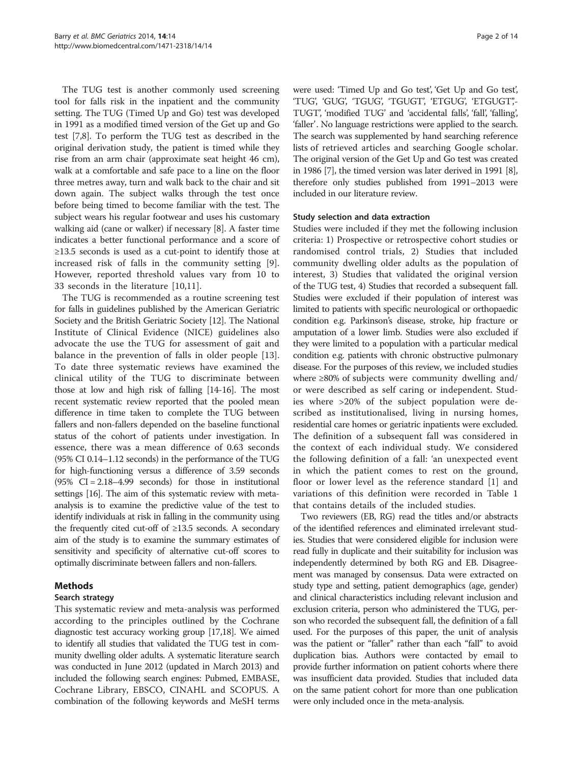The TUG test is another commonly used screening tool for falls risk in the inpatient and the community setting. The TUG (Timed Up and Go) test was developed in 1991 as a modified timed version of the Get up and Go test [\[7,8\]](#page-12-0). To perform the TUG test as described in the original derivation study, the patient is timed while they rise from an arm chair (approximate seat height 46 cm), walk at a comfortable and safe pace to a line on the floor three metres away, turn and walk back to the chair and sit down again. The subject walks through the test once before being timed to become familiar with the test. The subject wears his regular footwear and uses his customary walking aid (cane or walker) if necessary [\[8](#page-12-0)]. A faster time indicates a better functional performance and a score of ≥13.5 seconds is used as a cut-point to identify those at increased risk of falls in the community setting [\[9](#page-12-0)]. However, reported threshold values vary from 10 to 33 seconds in the literature [[10,11](#page-12-0)].

The TUG is recommended as a routine screening test for falls in guidelines published by the American Geriatric Society and the British Geriatric Society [[12\]](#page-12-0). The National Institute of Clinical Evidence (NICE) guidelines also advocate the use the TUG for assessment of gait and balance in the prevention of falls in older people [\[13](#page-12-0)]. To date three systematic reviews have examined the clinical utility of the TUG to discriminate between those at low and high risk of falling [\[14-16](#page-12-0)]. The most recent systematic review reported that the pooled mean difference in time taken to complete the TUG between fallers and non-fallers depended on the baseline functional status of the cohort of patients under investigation. In essence, there was a mean difference of 0.63 seconds (95% CI 0.14–1.12 seconds) in the performance of the TUG for high-functioning versus a difference of 3.59 seconds (95%  $CI = 2.18-4.99$  seconds) for those in institutional settings [\[16\]](#page-12-0). The aim of this systematic review with metaanalysis is to examine the predictive value of the test to identify individuals at risk in falling in the community using the frequently cited cut-off of  $\geq$ 13.5 seconds. A secondary aim of the study is to examine the summary estimates of sensitivity and specificity of alternative cut-off scores to optimally discriminate between fallers and non-fallers.

# Methods

# Search strategy

This systematic review and meta-analysis was performed according to the principles outlined by the Cochrane diagnostic test accuracy working group [[17,18](#page-12-0)]. We aimed to identify all studies that validated the TUG test in community dwelling older adults. A systematic literature search was conducted in June 2012 (updated in March 2013) and included the following search engines: Pubmed, EMBASE, Cochrane Library, EBSCO, CINAHL and SCOPUS. A combination of the following keywords and MeSH terms

were used: 'Timed Up and Go test', 'Get Up and Go test', 'TUG', 'GUG', 'TGUG', 'TGUGT', 'ETGUG', 'ETGUGT','- TUGT', 'modified TUG' and 'accidental falls', 'fall', 'falling', 'faller'. No language restrictions were applied to the search. The search was supplemented by hand searching reference lists of retrieved articles and searching Google scholar. The original version of the Get Up and Go test was created in 1986 [\[7\]](#page-12-0), the timed version was later derived in 1991 [[8](#page-12-0)], therefore only studies published from 1991–2013 were included in our literature review.

# Study selection and data extraction

Studies were included if they met the following inclusion criteria: 1) Prospective or retrospective cohort studies or randomised control trials, 2) Studies that included community dwelling older adults as the population of interest, 3) Studies that validated the original version of the TUG test, 4) Studies that recorded a subsequent fall. Studies were excluded if their population of interest was limited to patients with specific neurological or orthopaedic condition e.g. Parkinson's disease, stroke, hip fracture or amputation of a lower limb. Studies were also excluded if they were limited to a population with a particular medical condition e.g. patients with chronic obstructive pulmonary disease. For the purposes of this review, we included studies where ≥80% of subjects were community dwelling and/ or were described as self caring or independent. Studies where >20% of the subject population were described as institutionalised, living in nursing homes, residential care homes or geriatric inpatients were excluded. The definition of a subsequent fall was considered in the context of each individual study. We considered the following definition of a fall: 'an unexpected event in which the patient comes to rest on the ground, floor or lower level as the reference standard [[1\]](#page-12-0) and variations of this definition were recorded in Table [1](#page-3-0) that contains details of the included studies.

Two reviewers (EB, RG) read the titles and/or abstracts of the identified references and eliminated irrelevant studies. Studies that were considered eligible for inclusion were read fully in duplicate and their suitability for inclusion was independently determined by both RG and EB. Disagreement was managed by consensus. Data were extracted on study type and setting, patient demographics (age, gender) and clinical characteristics including relevant inclusion and exclusion criteria, person who administered the TUG, person who recorded the subsequent fall, the definition of a fall used. For the purposes of this paper, the unit of analysis was the patient or "faller" rather than each "fall" to avoid duplication bias. Authors were contacted by email to provide further information on patient cohorts where there was insufficient data provided. Studies that included data on the same patient cohort for more than one publication were only included once in the meta-analysis.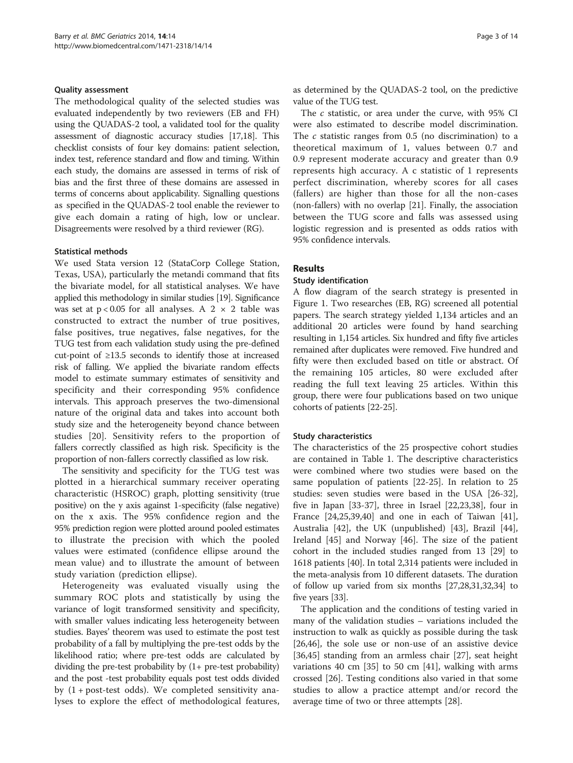#### Quality assessment

The methodological quality of the selected studies was evaluated independently by two reviewers (EB and FH) using the QUADAS-2 tool, a validated tool for the quality assessment of diagnostic accuracy studies [\[17,18](#page-12-0)]. This checklist consists of four key domains: patient selection, index test, reference standard and flow and timing. Within each study, the domains are assessed in terms of risk of bias and the first three of these domains are assessed in terms of concerns about applicability. Signalling questions as specified in the QUADAS-2 tool enable the reviewer to give each domain a rating of high, low or unclear. Disagreements were resolved by a third reviewer (RG).

#### Statistical methods

We used Stata version 12 (StataCorp College Station, Texas, USA), particularly the metandi command that fits the bivariate model, for all statistical analyses. We have applied this methodology in similar studies [[19](#page-12-0)]. Significance was set at  $p < 0.05$  for all analyses. A 2  $\times$  2 table was constructed to extract the number of true positives, false positives, true negatives, false negatives, for the TUG test from each validation study using the pre-defined cut-point of ≥13.5 seconds to identify those at increased risk of falling. We applied the bivariate random effects model to estimate summary estimates of sensitivity and specificity and their corresponding 95% confidence intervals. This approach preserves the two-dimensional nature of the original data and takes into account both study size and the heterogeneity beyond chance between studies [\[20](#page-12-0)]. Sensitivity refers to the proportion of fallers correctly classified as high risk. Specificity is the proportion of non-fallers correctly classified as low risk.

The sensitivity and specificity for the TUG test was plotted in a hierarchical summary receiver operating characteristic (HSROC) graph, plotting sensitivity (true positive) on the y axis against 1-specificity (false negative) on the x axis. The 95% confidence region and the 95% prediction region were plotted around pooled estimates to illustrate the precision with which the pooled values were estimated (confidence ellipse around the mean value) and to illustrate the amount of between study variation (prediction ellipse).

Heterogeneity was evaluated visually using the summary ROC plots and statistically by using the variance of logit transformed sensitivity and specificity, with smaller values indicating less heterogeneity between studies. Bayes' theorem was used to estimate the post test probability of a fall by multiplying the pre-test odds by the likelihood ratio; where pre-test odds are calculated by dividing the pre-test probability by (1+ pre-test probability) and the post -test probability equals post test odds divided by (1 + post-test odds). We completed sensitivity analyses to explore the effect of methodological features,

as determined by the QUADAS-2 tool, on the predictive value of the TUG test.

The  $c$  statistic, or area under the curve, with 95% CI were also estimated to describe model discrimination. The  $c$  statistic ranges from 0.5 (no discrimination) to a theoretical maximum of 1, values between 0.7 and 0.9 represent moderate accuracy and greater than 0.9 represents high accuracy. A c statistic of 1 represents perfect discrimination, whereby scores for all cases (fallers) are higher than those for all the non-cases (non-fallers) with no overlap [\[21\]](#page-12-0). Finally, the association between the TUG score and falls was assessed using logistic regression and is presented as odds ratios with 95% confidence intervals.

#### Results

#### Study identification

A flow diagram of the search strategy is presented in Figure [1.](#page-7-0) Two researches (EB, RG) screened all potential papers. The search strategy yielded 1,134 articles and an additional 20 articles were found by hand searching resulting in 1,154 articles. Six hundred and fifty five articles remained after duplicates were removed. Five hundred and fifty were then excluded based on title or abstract. Of the remaining 105 articles, 80 were excluded after reading the full text leaving 25 articles. Within this group, there were four publications based on two unique cohorts of patients [\[22-25\]](#page-12-0).

#### Study characteristics

The characteristics of the 25 prospective cohort studies are contained in Table [1](#page-3-0). The descriptive characteristics were combined where two studies were based on the same population of patients [\[22](#page-12-0)-[25\]](#page-12-0). In relation to 25 studies: seven studies were based in the USA [\[26-32](#page-12-0)], five in Japan [[33-37\]](#page-12-0), three in Israel [[22,23,38\]](#page-12-0), four in France [[24](#page-12-0),[25](#page-12-0),[39](#page-12-0)[,40](#page-13-0)] and one in each of Taiwan [\[41](#page-13-0)], Australia [[42\]](#page-13-0), the UK (unpublished) [[43](#page-13-0)], Brazil [\[44](#page-13-0)], Ireland [[45\]](#page-13-0) and Norway [\[46](#page-13-0)]. The size of the patient cohort in the included studies ranged from 13 [[29](#page-12-0)] to 1618 patients [\[40\]](#page-13-0). In total 2,314 patients were included in the meta-analysis from 10 different datasets. The duration of follow up varied from six months [\[27,28,31](#page-12-0),[32,34\]](#page-12-0) to five years [\[33\]](#page-12-0).

The application and the conditions of testing varied in many of the validation studies – variations included the instruction to walk as quickly as possible during the task [[26,](#page-12-0)[46\]](#page-13-0), the sole use or non-use of an assistive device [[36,](#page-12-0)[45\]](#page-13-0) standing from an armless chair [[27](#page-12-0)], seat height variations 40 cm [\[35\]](#page-12-0) to 50 cm [[41\]](#page-13-0), walking with arms crossed [\[26](#page-12-0)]. Testing conditions also varied in that some studies to allow a practice attempt and/or record the average time of two or three attempts [[28](#page-12-0)].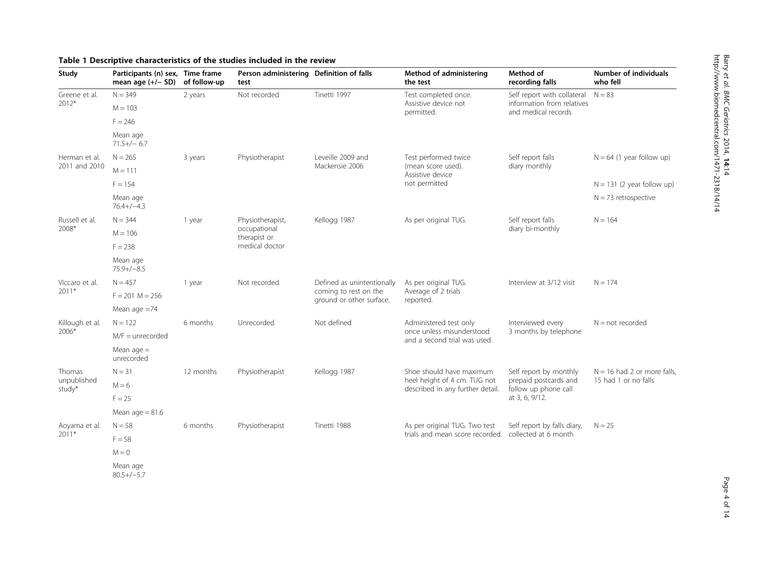| Study                  | Participants (n) sex, Time frame<br>mean age $(+/- SD)$ | of follow-up | Person administering Definition of falls<br>test                   |                                                                                 | Method of administering<br>the test                                                          | Method of<br>recording falls                                                              | <b>Number of individuals</b><br>who fell              |
|------------------------|---------------------------------------------------------|--------------|--------------------------------------------------------------------|---------------------------------------------------------------------------------|----------------------------------------------------------------------------------------------|-------------------------------------------------------------------------------------------|-------------------------------------------------------|
| Greene et al.<br>2012* | $N = 349$                                               | 2 years      | Not recorded                                                       | Tinetti 1997                                                                    | Test completed once.<br>Assistive device not<br>permitted.                                   | Self report with collateral<br>information from relatives<br>and medical records          | $N = 83$                                              |
|                        | $M = 103$                                               |              |                                                                    |                                                                                 |                                                                                              |                                                                                           |                                                       |
|                        | $F = 246$                                               |              |                                                                    |                                                                                 |                                                                                              |                                                                                           |                                                       |
|                        | Mean age<br>$71.5+/- 6.7$                               |              |                                                                    |                                                                                 |                                                                                              |                                                                                           |                                                       |
| Herman et al.          | $N = 265$                                               | 3 years      | Physiotherapist                                                    | Leveille 2009 and<br>Mackensie 2006                                             | Test performed twice                                                                         | Self report falls                                                                         | $N = 64$ (1 year follow up)                           |
| 2011 and 2010          | $M = 111$                                               |              |                                                                    |                                                                                 | (mean score used).<br>Assistive device                                                       | diary monthly                                                                             |                                                       |
|                        | $F = 154$                                               |              |                                                                    |                                                                                 | not permitted                                                                                |                                                                                           | $N = 131$ (2 year follow up)                          |
|                        | Mean age<br>$76.4+/-4.3$                                |              |                                                                    |                                                                                 |                                                                                              |                                                                                           | $N = 73$ retrospective                                |
| Russell et al.         | $N = 344$                                               | 1 year       | Physiotherapist,<br>occupational<br>therapist or<br>medical doctor | Kellogg 1987                                                                    | As per original TUG.                                                                         | Self report falls<br>diary bi-monthly                                                     | $N = 164$                                             |
| 2008*                  | $M = 106$                                               |              |                                                                    |                                                                                 |                                                                                              |                                                                                           |                                                       |
|                        | $F = 238$                                               |              |                                                                    |                                                                                 |                                                                                              |                                                                                           |                                                       |
|                        | Mean age<br>$75.9 + / -8.5$                             |              |                                                                    |                                                                                 |                                                                                              |                                                                                           |                                                       |
| Viccaro et al.         | $N = 457$                                               | 1 year       | Not recorded                                                       | Defined as unintentionally<br>coming to rest on the<br>ground or other surface. | As per original TUG.<br>Average of 2 trials<br>reported.                                     | Interview at 3/12 visit                                                                   | $N = 174$                                             |
| $2011*$                | $F = 201 M = 256$                                       |              |                                                                    |                                                                                 |                                                                                              |                                                                                           |                                                       |
|                        | Mean age $=74$                                          |              |                                                                    |                                                                                 |                                                                                              |                                                                                           |                                                       |
| Killough et al.        | $N = 122$                                               | 6 months     | Unrecorded                                                         | Not defined                                                                     | Administered test only<br>once unless misunderstood<br>and a second trial was used.          | Interviewed every<br>3 months by telephone                                                | $N = not recorded$                                    |
| 2006*                  | $M/F =$ unrecorded                                      |              |                                                                    |                                                                                 |                                                                                              |                                                                                           |                                                       |
|                        | Mean $age =$<br>unrecorded                              |              |                                                                    |                                                                                 |                                                                                              |                                                                                           |                                                       |
| Thomas                 | $N = 31$                                                | 12 months    | Physiotherapist                                                    | Kellogg 1987                                                                    | Shoe should have maximum<br>heel height of 4 cm. TUG not<br>described in any further detail. | Self report by monthly<br>prepaid postcards and<br>follow up phone call<br>at 3, 6, 9/12. | $N = 16$ had 2 or more falls,<br>15 had 1 or no falls |
| unpublished<br>study*  | $M = 6$                                                 |              |                                                                    |                                                                                 |                                                                                              |                                                                                           |                                                       |
|                        | $F = 25$                                                |              |                                                                    |                                                                                 |                                                                                              |                                                                                           |                                                       |
|                        | Mean $age = 81.6$                                       |              |                                                                    |                                                                                 |                                                                                              |                                                                                           |                                                       |
| Aoyama et al.          | $N = 58$                                                | 6 months     | Physiotherapist                                                    | Tinetti 1988                                                                    | As per original TUG. Two test                                                                | Self report by falls diary,                                                               | $N = 25$                                              |
| $2011*$                | $F = 58$                                                |              |                                                                    |                                                                                 | trials and mean score recorded. collected at 6 month                                         |                                                                                           |                                                       |
|                        | $M = 0$                                                 |              |                                                                    |                                                                                 |                                                                                              |                                                                                           |                                                       |
|                        | Mean age<br>$80.5 + / -5.7$                             |              |                                                                    |                                                                                 |                                                                                              |                                                                                           |                                                       |

# <span id="page-3-0"></span>Table 1 Descriptive characteristics of the studies included in the review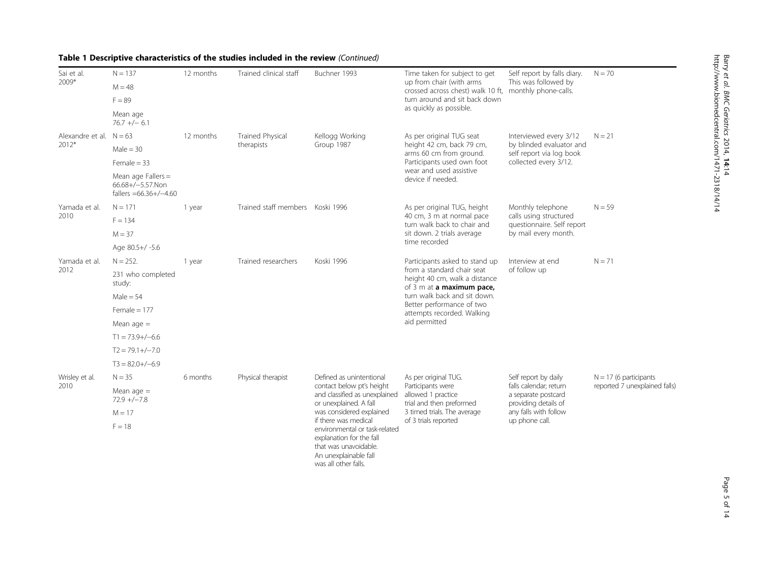| Sai et al.<br>2009*       | $N = 137$                                                          | 12 months | Trained clinical staff                | Buchner 1993                                                                                                                                                                                                                                                                                                | Time taken for subject to get<br>up from chair (with arms<br>crossed across chest) walk 10 ft.<br>turn around and sit back down<br>as quickly as possible.                                                                             | Self report by falls diary.<br>This was followed by<br>monthly phone-calls.                                                              | $N = 70$                                                  |
|---------------------------|--------------------------------------------------------------------|-----------|---------------------------------------|-------------------------------------------------------------------------------------------------------------------------------------------------------------------------------------------------------------------------------------------------------------------------------------------------------------|----------------------------------------------------------------------------------------------------------------------------------------------------------------------------------------------------------------------------------------|------------------------------------------------------------------------------------------------------------------------------------------|-----------------------------------------------------------|
|                           | $M = 48$                                                           |           |                                       |                                                                                                                                                                                                                                                                                                             |                                                                                                                                                                                                                                        |                                                                                                                                          |                                                           |
|                           | $F = 89$                                                           |           |                                       |                                                                                                                                                                                                                                                                                                             |                                                                                                                                                                                                                                        |                                                                                                                                          |                                                           |
|                           | Mean age<br>$76.7 +/- 6.1$                                         |           |                                       |                                                                                                                                                                                                                                                                                                             |                                                                                                                                                                                                                                        |                                                                                                                                          |                                                           |
| Alexandre et al. $N = 63$ |                                                                    | 12 months | <b>Trained Physical</b><br>therapists | Kellogg Working                                                                                                                                                                                                                                                                                             | As per original TUG seat                                                                                                                                                                                                               | Interviewed every 3/12                                                                                                                   | $N = 21$                                                  |
| $2012*$                   | $Male = 30$                                                        |           |                                       | Group 1987                                                                                                                                                                                                                                                                                                  | height 42 cm, back 79 cm,<br>arms 60 cm from ground.                                                                                                                                                                                   | by blinded evaluator and<br>self report via log book                                                                                     |                                                           |
|                           | Female $=$ 33                                                      |           |                                       |                                                                                                                                                                                                                                                                                                             | Participants used own foot                                                                                                                                                                                                             | collected every 3/12.                                                                                                                    |                                                           |
|                           | Mean age Fallers =<br>66.68+/-5.57.Non<br>fallers = $66.36+/-4.60$ |           |                                       |                                                                                                                                                                                                                                                                                                             | wear and used assistive<br>device if needed.                                                                                                                                                                                           |                                                                                                                                          |                                                           |
| Yamada et al.             | $N = 171$                                                          | 1 year    | Trained staff members Koski 1996      |                                                                                                                                                                                                                                                                                                             | As per original TUG, height                                                                                                                                                                                                            | Monthly telephone                                                                                                                        | $N = 59$                                                  |
| 2010                      | $F = 134$                                                          |           |                                       |                                                                                                                                                                                                                                                                                                             | 40 cm, 3 m at normal pace<br>turn walk back to chair and<br>sit down. 2 trials average<br>time recorded                                                                                                                                | calls using structured<br>questionnaire. Self report<br>by mail every month.                                                             |                                                           |
|                           | $M = 37$                                                           |           |                                       |                                                                                                                                                                                                                                                                                                             |                                                                                                                                                                                                                                        |                                                                                                                                          |                                                           |
|                           | Age 80.5+/-5.6                                                     |           |                                       |                                                                                                                                                                                                                                                                                                             |                                                                                                                                                                                                                                        |                                                                                                                                          |                                                           |
| Yamada et al.             | $N = 252$ .                                                        | 1 year    | Trained researchers                   | Koski 1996                                                                                                                                                                                                                                                                                                  | Participants asked to stand up<br>from a standard chair seat<br>height 40 cm, walk a distance<br>of 3 m at a maximum pace,<br>turn walk back and sit down.<br>Better performance of two<br>attempts recorded. Walking<br>aid permitted | Interview at end<br>of follow up                                                                                                         | $N = 71$                                                  |
| 2012                      | 231 who completed<br>study:                                        |           |                                       |                                                                                                                                                                                                                                                                                                             |                                                                                                                                                                                                                                        |                                                                                                                                          |                                                           |
|                           | Male = $54$                                                        |           |                                       |                                                                                                                                                                                                                                                                                                             |                                                                                                                                                                                                                                        |                                                                                                                                          |                                                           |
|                           | Female $= 177$                                                     |           |                                       |                                                                                                                                                                                                                                                                                                             |                                                                                                                                                                                                                                        |                                                                                                                                          |                                                           |
|                           | Mean $age =$                                                       |           |                                       |                                                                                                                                                                                                                                                                                                             |                                                                                                                                                                                                                                        |                                                                                                                                          |                                                           |
|                           | $T1 = 73.9 + (-6.6)$                                               |           |                                       |                                                                                                                                                                                                                                                                                                             |                                                                                                                                                                                                                                        |                                                                                                                                          |                                                           |
|                           | $T2 = 79.1 + (-7.0$                                                |           |                                       |                                                                                                                                                                                                                                                                                                             |                                                                                                                                                                                                                                        |                                                                                                                                          |                                                           |
|                           | $T3 = 82.0 + (-6.9$                                                |           |                                       |                                                                                                                                                                                                                                                                                                             |                                                                                                                                                                                                                                        |                                                                                                                                          |                                                           |
| Wrisley et al.            | $N = 35$                                                           | 6 months  | Physical therapist                    | Defined as unintentional<br>contact below pt's height<br>and classified as unexplained<br>or unexplained. A fall<br>was considered explained<br>if there was medical<br>environmental or task-related<br>explanation for the fall<br>that was unavoidable.<br>An unexplainable fall<br>was all other falls. | As per original TUG.<br>Participants were<br>allowed 1 practice<br>trial and then preformed                                                                                                                                            | Self report by daily<br>falls calendar; return<br>a separate postcard<br>providing details of<br>any falls with follow<br>up phone call. | $N = 17$ (6 participants<br>reported 7 unexplained falls) |
| 2010                      | Mean $age =$<br>$72.9 + (-7.8)$                                    |           |                                       |                                                                                                                                                                                                                                                                                                             |                                                                                                                                                                                                                                        |                                                                                                                                          |                                                           |
|                           | $M = 17$                                                           |           |                                       |                                                                                                                                                                                                                                                                                                             | 3 timed trials. The average                                                                                                                                                                                                            |                                                                                                                                          |                                                           |
|                           | $F = 18$                                                           |           |                                       |                                                                                                                                                                                                                                                                                                             | of 3 trials reported                                                                                                                                                                                                                   |                                                                                                                                          |                                                           |

# Table 1 Descriptive characteristics of the studies included in the review (Continued)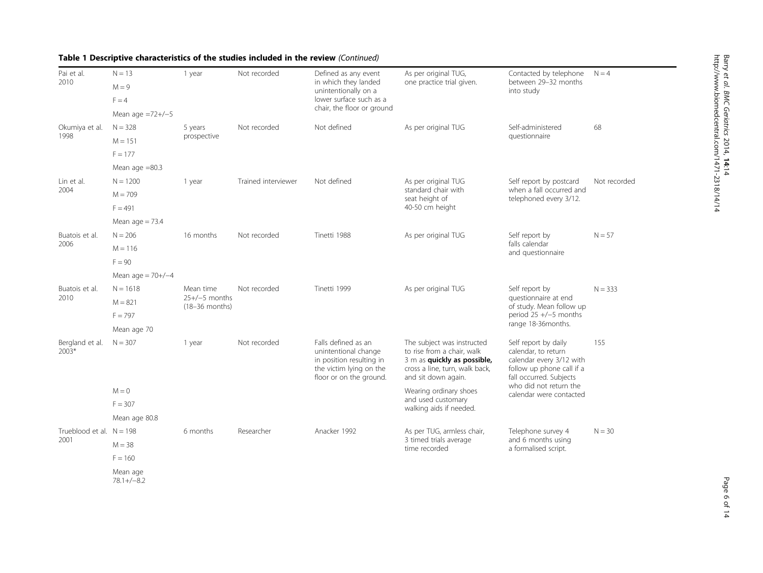| Pai et al.<br>2010         | $N = 13$                    | 1 year                                           | Not recorded        | Defined as any event<br>in which they landed<br>unintentionally on a                                                          | As per original TUG,                                                                                                                             | Contacted by telephone<br>between 29-32 months<br>into study                                                                    | $N = 4$      |
|----------------------------|-----------------------------|--------------------------------------------------|---------------------|-------------------------------------------------------------------------------------------------------------------------------|--------------------------------------------------------------------------------------------------------------------------------------------------|---------------------------------------------------------------------------------------------------------------------------------|--------------|
|                            | $M = 9$                     |                                                  |                     |                                                                                                                               | one practice trial given.                                                                                                                        |                                                                                                                                 |              |
|                            | $F = 4$                     |                                                  |                     | lower surface such as a                                                                                                       |                                                                                                                                                  |                                                                                                                                 |              |
|                            | Mean age $=72+/-5$          |                                                  |                     | chair, the floor or ground                                                                                                    |                                                                                                                                                  |                                                                                                                                 |              |
| Okumiya et al.             | $N = 328$                   | 5 years                                          | Not recorded        | Not defined                                                                                                                   | As per original TUG                                                                                                                              | Self-administered                                                                                                               | 68           |
| 1998                       | $M = 151$                   | prospective                                      |                     |                                                                                                                               |                                                                                                                                                  | questionnaire                                                                                                                   |              |
|                            | $F = 177$                   |                                                  |                     |                                                                                                                               |                                                                                                                                                  |                                                                                                                                 |              |
|                            | Mean age $=80.3$            |                                                  |                     |                                                                                                                               |                                                                                                                                                  |                                                                                                                                 |              |
| Lin et al.                 | $N = 1200$                  | 1 year                                           | Trained interviewer | Not defined                                                                                                                   | As per original TUG                                                                                                                              | Self report by postcard                                                                                                         | Not recorded |
| 2004                       | $M = 709$                   |                                                  |                     |                                                                                                                               | standard chair with<br>seat height of                                                                                                            | when a fall occurred and<br>telephoned every 3/12.                                                                              |              |
|                            | $F = 491$                   |                                                  |                     |                                                                                                                               | 40-50 cm height                                                                                                                                  |                                                                                                                                 |              |
|                            | Mean $age = 73.4$           |                                                  |                     |                                                                                                                               |                                                                                                                                                  |                                                                                                                                 |              |
| Buatois et al.             | $N = 206$                   | 16 months                                        | Not recorded        | Tinetti 1988                                                                                                                  | As per original TUG                                                                                                                              | Self report by<br>falls calendar<br>and questionnaire                                                                           | $N = 57$     |
| 2006                       | $M = 116$                   |                                                  |                     |                                                                                                                               |                                                                                                                                                  |                                                                                                                                 |              |
|                            | $F = 90$                    |                                                  |                     |                                                                                                                               |                                                                                                                                                  |                                                                                                                                 |              |
|                            | Mean age = $70+/-4$         |                                                  |                     |                                                                                                                               |                                                                                                                                                  |                                                                                                                                 |              |
| Buatois et al.             | $N = 1618$                  | Mean time<br>$25+/-5$ months<br>$(18-36$ months) | Not recorded        | Tinetti 1999                                                                                                                  | As per original TUG                                                                                                                              | Self report by<br>questionnaire at end<br>of study. Mean follow up<br>period 25 +/-5 months                                     | $N = 333$    |
| 2010                       | $M = 821$                   |                                                  |                     |                                                                                                                               |                                                                                                                                                  |                                                                                                                                 |              |
|                            | $F = 797$                   |                                                  |                     |                                                                                                                               |                                                                                                                                                  |                                                                                                                                 |              |
|                            | Mean age 70                 |                                                  |                     |                                                                                                                               |                                                                                                                                                  | range 18-36months.                                                                                                              |              |
| Bergland et al.<br>2003*   | $N = 307$                   | 1 year                                           | Not recorded        | Falls defined as an<br>unintentional change<br>in position resulting in<br>the victim lying on the<br>floor or on the ground. | The subject was instructed<br>to rise from a chair, walk<br>3 m as quickly as possible,<br>cross a line, turn, walk back,<br>and sit down again. | Self report by daily<br>calendar, to return<br>calendar every 3/12 with<br>follow up phone call if a<br>fall occurred. Subjects | 155          |
|                            | $M = 0$                     |                                                  |                     |                                                                                                                               | Wearing ordinary shoes                                                                                                                           | who did not return the<br>calendar were contacted                                                                               |              |
|                            | $F = 307$                   |                                                  |                     |                                                                                                                               | and used customary<br>walking aids if needed.                                                                                                    |                                                                                                                                 |              |
|                            | Mean age 80.8               |                                                  |                     |                                                                                                                               |                                                                                                                                                  |                                                                                                                                 |              |
| Trueblood et al. $N = 198$ |                             | 6 months                                         | Researcher          | Anacker 1992                                                                                                                  | As per TUG, armless chair,                                                                                                                       | Telephone survey 4                                                                                                              | $N = 30$     |
| 2001                       | $M = 38$                    |                                                  |                     |                                                                                                                               | 3 timed trials average<br>time recorded                                                                                                          | and 6 months using<br>a formalised script.                                                                                      |              |
|                            | $F = 160$                   |                                                  |                     |                                                                                                                               |                                                                                                                                                  |                                                                                                                                 |              |
|                            | Mean age<br>$78.1 + / -8.2$ |                                                  |                     |                                                                                                                               |                                                                                                                                                  |                                                                                                                                 |              |

# Table 1 Descriptive characteristics of the studies included in the review (Continued)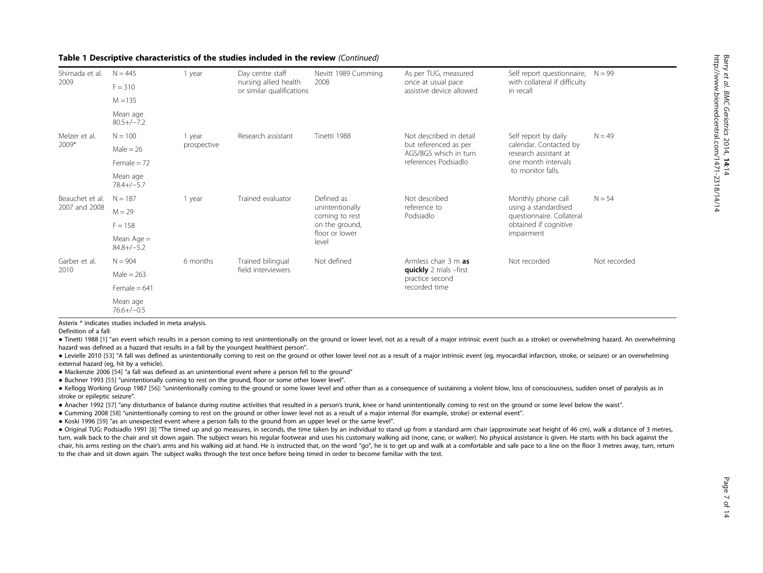| Shimada et al.<br>2009 | $N = 445$<br>$F = 310$          | 1 year      | Day centre staff<br>nursing allied health | Nevitt 1989 Cumming<br>2008                                                                  | As per TUG, measured<br>once at usual pace<br>assistive device allowed                     | Self report questionnaire,<br>with collateral if difficulty                                                         | $N = 99$     |
|------------------------|---------------------------------|-------------|-------------------------------------------|----------------------------------------------------------------------------------------------|--------------------------------------------------------------------------------------------|---------------------------------------------------------------------------------------------------------------------|--------------|
|                        | $M = 135$                       |             | or similar qualifications                 |                                                                                              |                                                                                            | in recall                                                                                                           |              |
|                        | Mean age<br>$80.5 + / -7.2$     |             |                                           |                                                                                              |                                                                                            |                                                                                                                     |              |
| Melzer et al.          | $N = 100$                       | 1 year      | Research assistant                        | Tinetti 1988                                                                                 | Not described in detail                                                                    | Self report by daily<br>calendar. Contacted by<br>research assistant at<br>one month intervals<br>to monitor falls. | $N = 49$     |
| 2009*                  | Male = $26$                     | prospective |                                           |                                                                                              | but referenced as per<br>AGS/BGS which in turn<br>references Podsiadlo                     |                                                                                                                     |              |
|                        | Female $= 72$                   |             |                                           |                                                                                              |                                                                                            |                                                                                                                     |              |
|                        | Mean age<br>$78.4 + / -5.7$     |             |                                           |                                                                                              |                                                                                            |                                                                                                                     |              |
| Beauchet et al.        | $N = 187$                       | 1 year      | Trained evaluator                         | Defined as<br>unintentionally<br>coming to rest<br>on the ground,<br>floor or lower<br>level | Not described<br>reference to<br>Podsiadlo                                                 | Monthly phone call<br>using a standardised<br>questionnaire. Collateral<br>obtained if cognitive<br>impairment      | $N = 54$     |
| 2007 and 2008          | $M = 29$                        |             |                                           |                                                                                              |                                                                                            |                                                                                                                     |              |
|                        | $F = 158$                       |             |                                           |                                                                                              |                                                                                            |                                                                                                                     |              |
|                        | Mean $Age =$<br>$84.8 + / -5.2$ |             |                                           |                                                                                              |                                                                                            |                                                                                                                     |              |
| Garber et al.          | $N = 904$                       | 6 months    | Trained bilingual                         | Not defined                                                                                  | Armless chair 3 m as<br><b>quickly</b> 2 trials -first<br>practice second<br>recorded time | Not recorded                                                                                                        | Not recorded |
| 2010                   | $Male = 263$                    |             | field interviewers                        |                                                                                              |                                                                                            |                                                                                                                     |              |
|                        | Female = $641$                  |             |                                           |                                                                                              |                                                                                            |                                                                                                                     |              |
|                        | Mean age<br>$76.6+/-0.5$        |             |                                           |                                                                                              |                                                                                            |                                                                                                                     |              |

Definition of a fall:

• Tinetti 1988 [\[1\]](#page-12-0) "an event which results in a person coming to rest unintentionally on the ground or lower level, not as a result of a major intrinsic event (such as a stroke) or overwhelming hazard. An overwhelming hazard was defined as a hazard that results in a fall by the youngest healthiest person".

● Levielle 2010 [[53\]](#page-13-0) "A fall was defined as unintentionally coming to rest on the ground or other lower level not as a result of a major intrinsic event (eg, myocardial infarction, stroke, or seizure) or an overwhelming external hazard (eg, hit by a vehicle).

● Mackenzie 2006 [[54\]](#page-13-0) "a fall was defined as an unintentional event where a person fell to the ground"

● Buchner 1993 [[55](#page-13-0)] "unintentionally coming to rest on the ground, floor or some other lower level".

● Kellogg Working Group 1987 [[56](#page-13-0)]: "unintentionally coming to the ground or some lower level and other than as a consequence of sustaining a violent blow, loss of consciousness, sudden onset of paralysis as in stroke or epileptic seizure".

● Anacher 1992 [[57](#page-13-0)] "any disturbance of balance during routine activities that resulted in a person's trunk, knee or hand unintentionally coming to rest on the ground or some level below the waist".

● Cumming 2008 [[58\]](#page-13-0) "unintentionally coming to rest on the ground or other lower level not as a result of a major internal (for example, stroke) or external event".

● Koski 1996 [[59](#page-13-0)] "as an unexpected event where a person falls to the ground from an upper level or the same level".

● Original TUG: Podsiadlo 1991 [\[8\]](#page-12-0) "The timed up and go measures, in seconds, the time taken by an individual to stand up from a standard arm chair (approximate seat height of 46 cm), walk a distance of 3 metres, turn, walk back to the chair and sit down again. The subject wears his regular footwear and uses his customary walking aid (none, cane, or walker). No physical assistance is given. He starts with his back against the chair, his arms resting on the chair's arms and his walking aid at hand. He is instructed that, on the word "go", he is to get up and walk at a comfortable and safe pace to a line on the floor 3 metres away, turn, return to the chair and sit down again. The subject walks through the test once before being timed in order to become familiar with the test.

# Table 1 Descriptive characteristics of the studies included in the review (Continued)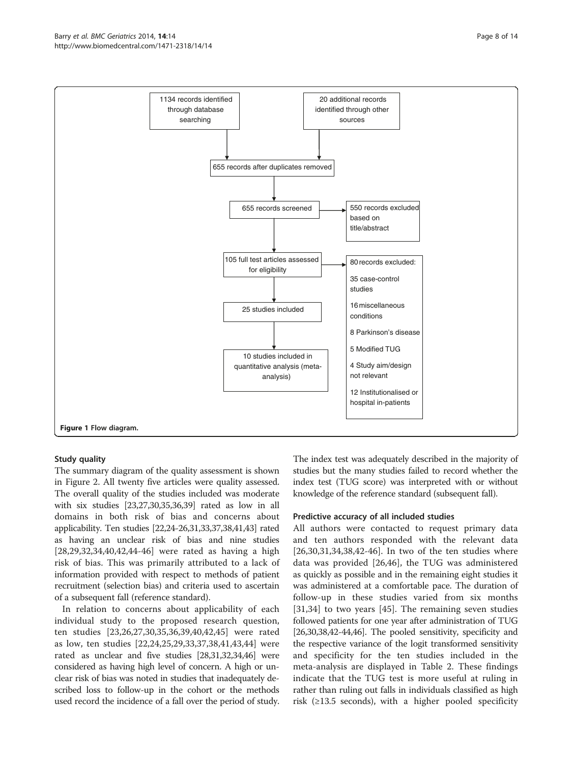<span id="page-7-0"></span>

#### Study quality

The summary diagram of the quality assessment is shown in Figure [2.](#page-8-0) All twenty five articles were quality assessed. The overall quality of the studies included was moderate with six studies [\[23,27,30,35,36,39](#page-12-0)] rated as low in all domains in both risk of bias and concerns about applicability. Ten studies [\[22,24](#page-12-0)-[26,31,33,37,38](#page-12-0)[,41,43](#page-13-0)] rated as having an unclear risk of bias and nine studies [[28,29,32](#page-12-0),[34,](#page-12-0)[40,42,44](#page-13-0)-[46](#page-13-0)] were rated as having a high risk of bias. This was primarily attributed to a lack of information provided with respect to methods of patient recruitment (selection bias) and criteria used to ascertain of a subsequent fall (reference standard).

In relation to concerns about applicability of each individual study to the proposed research question, ten studies [\[23,26](#page-12-0),[27,30,35,36](#page-12-0),[39,](#page-12-0)[40,42,45](#page-13-0)] were rated as low, ten studies [[22,24,25,29](#page-12-0),[33,37,38](#page-12-0)[,41,43](#page-13-0),[44\]](#page-13-0) were rated as unclear and five studies [[28,31,32,34,](#page-12-0)[46](#page-13-0)] were considered as having high level of concern. A high or unclear risk of bias was noted in studies that inadequately described loss to follow-up in the cohort or the methods used record the incidence of a fall over the period of study. The index test was adequately described in the majority of studies but the many studies failed to record whether the index test (TUG score) was interpreted with or without knowledge of the reference standard (subsequent fall).

#### Predictive accuracy of all included studies

All authors were contacted to request primary data and ten authors responded with the relevant data [[26,30,31](#page-12-0),[34,38,](#page-12-0)[42](#page-13-0)-[46\]](#page-13-0). In two of the ten studies where data was provided [\[26](#page-12-0),[46\]](#page-13-0), the TUG was administered as quickly as possible and in the remaining eight studies it was administered at a comfortable pace. The duration of follow-up in these studies varied from six months [[31,34](#page-12-0)] to two years [\[45](#page-13-0)]. The remaining seven studies followed patients for one year after administration of TUG [[26,30,38](#page-12-0)[,42-44,46](#page-13-0)]. The pooled sensitivity, specificity and the respective variance of the logit transformed sensitivity and specificity for the ten studies included in the meta-analysis are displayed in Table [2.](#page-8-0) These findings indicate that the TUG test is more useful at ruling in rather than ruling out falls in individuals classified as high risk (≥13.5 seconds), with a higher pooled specificity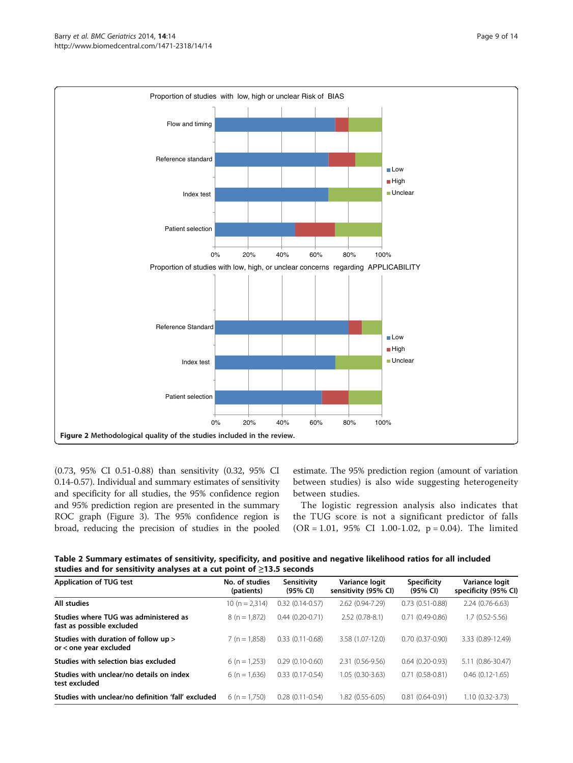<span id="page-8-0"></span>

(0.73, 95% CI 0.51-0.88) than sensitivity (0.32, 95% CI 0.14-0.57). Individual and summary estimates of sensitivity and specificity for all studies, the 95% confidence region and 95% prediction region are presented in the summary ROC graph (Figure [3\)](#page-9-0). The 95% confidence region is broad, reducing the precision of studies in the pooled

estimate. The 95% prediction region (amount of variation between studies) is also wide suggesting heterogeneity between studies.

The logistic regression analysis also indicates that the TUG score is not a significant predictor of falls  $(OR = 1.01, 95\% \text{ CI } 1.00 - 1.02, p = 0.04)$ . The limited

Table 2 Summary estimates of sensitivity, specificity, and positive and negative likelihood ratios for all included studies and for sensitivity analyses at a cut point of ≥13.5 seconds

| <b>Application of TUG test</b>                                     | No. of studies<br>(patients) | Sensitivity<br>(95% CI) | Variance logit<br>sensitivity (95% CI) | Specificity<br>(95% CI) | Variance logit<br>specificity (95% CI) |
|--------------------------------------------------------------------|------------------------------|-------------------------|----------------------------------------|-------------------------|----------------------------------------|
| All studies                                                        | $10(n = 2.314)$              | $0.32(0.14-0.57)$       | 2.62 (0.94-7.29)                       | $0.73(0.51 - 0.88)$     | 2.24 (0.76-6.63)                       |
| Studies where TUG was administered as<br>fast as possible excluded | $8(n = 1.872)$               | $0.44(0.20-0.71)$       | $2.52(0.78-8.1)$                       | $0.71(0.49 - 0.86)$     | $1.7(0.52 - 5.56)$                     |
| Studies with duration of follow up ><br>or < one year excluded     | $7 (n = 1.858)$              | $0.33(0.11-0.68)$       | 3.58 (1.07-12.0)                       | $0.70(0.37-0.90)$       | 3.33 (0.89-12.49)                      |
| Studies with selection bias excluded                               | $6(n = 1.253)$               | $0.29(0.10-0.60)$       | 2.31 (0.56-9.56)                       | $0.64(0.20-0.93)$       | 5.11 (0.86-30.47)                      |
| Studies with unclear/no details on index<br>test excluded          | $6(n = 1.636)$               | $0.33(0.17-0.54)$       | $1.05(0.30-3.63)$                      | $0.71(0.58-0.81)$       | $0.46(0.12 - 1.65)$                    |
| Studies with unclear/no definition 'fall' excluded                 | 6 (n = $1.750$ )             | $0.28(0.11-0.54)$       | (0.55-6.05) 82.                        | $0.81(0.64 - 0.91)$     | 1.10 (0.32-3.73)                       |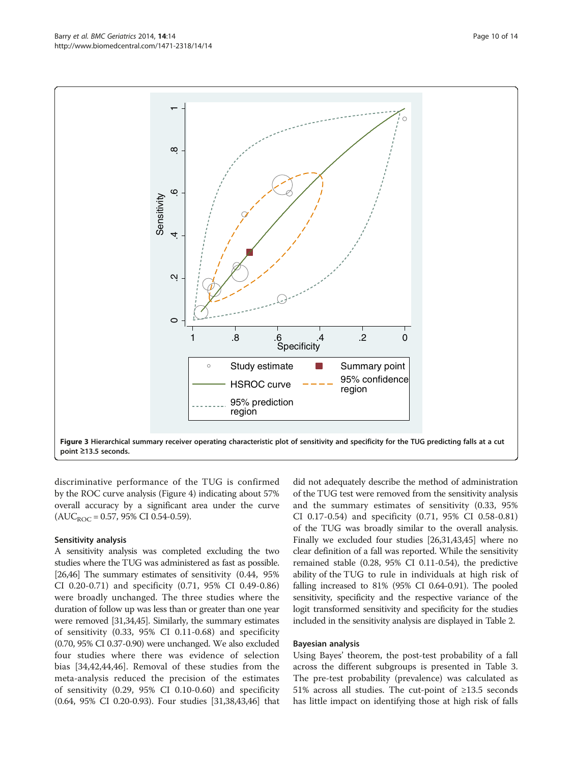discriminative performance of the TUG is confirmed by the ROC curve analysis (Figure [4\)](#page-10-0) indicating about 57% overall accuracy by a significant area under the curve  $(AUC_{ROC} = 0.57, 95\% CI 0.54-0.59).$ 

#### Sensitivity analysis

A sensitivity analysis was completed excluding the two studies where the TUG was administered as fast as possible. [[26](#page-12-0)[,46](#page-13-0)] The summary estimates of sensitivity (0.44, 95% CI 0.20-0.71) and specificity (0.71, 95% CI 0.49-0.86) were broadly unchanged. The three studies where the duration of follow up was less than or greater than one year were removed [\[31,34,](#page-12-0)[45](#page-13-0)]. Similarly, the summary estimates of sensitivity (0.33, 95% CI 0.11-0.68) and specificity (0.70, 95% CI 0.37-0.90) were unchanged. We also excluded four studies where there was evidence of selection bias [\[34](#page-12-0)[,42](#page-13-0),[44,46\]](#page-13-0). Removal of these studies from the meta-analysis reduced the precision of the estimates of sensitivity (0.29, 95% CI 0.10-0.60) and specificity (0.64, 95% CI 0.20-0.93). Four studies [[31,38,](#page-12-0)[43,46](#page-13-0)] that

did not adequately describe the method of administration of the TUG test were removed from the sensitivity analysis and the summary estimates of sensitivity (0.33, 95% CI 0.17-0.54) and specificity (0.71, 95% CI 0.58-0.81) of the TUG was broadly similar to the overall analysis. Finally we excluded four studies [\[26,31,](#page-12-0)[43,45\]](#page-13-0) where no clear definition of a fall was reported. While the sensitivity remained stable (0.28, 95% CI 0.11-0.54), the predictive ability of the TUG to rule in individuals at high risk of falling increased to 81% (95% CI 0.64-0.91). The pooled sensitivity, specificity and the respective variance of the logit transformed sensitivity and specificity for the studies included in the sensitivity analysis are displayed in Table [2](#page-8-0).

#### Bayesian analysis

Using Bayes' theorem, the post-test probability of a fall across the different subgroups is presented in Table [3](#page-10-0). The pre-test probability (prevalence) was calculated as 51% across all studies. The cut-point of ≥13.5 seconds has little impact on identifying those at high risk of falls

<span id="page-9-0"></span>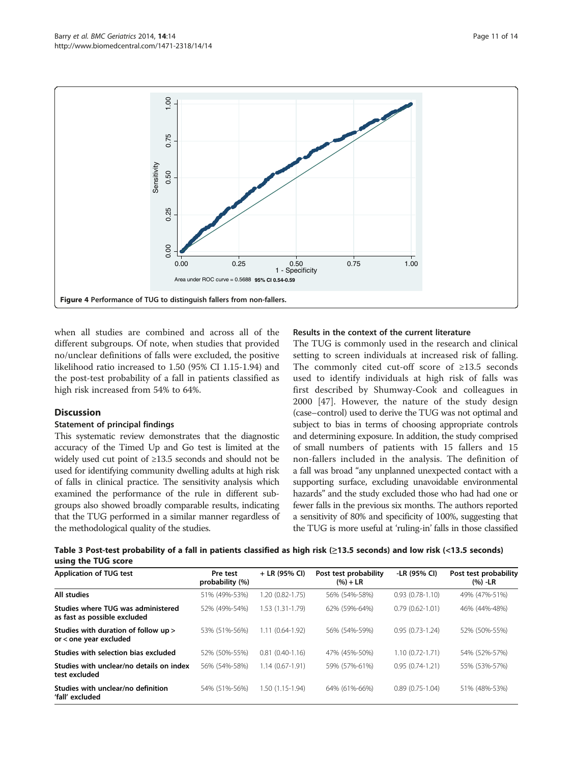<span id="page-10-0"></span>

when all studies are combined and across all of the different subgroups. Of note, when studies that provided no/unclear definitions of falls were excluded, the positive likelihood ratio increased to 1.50 (95% CI 1.15-1.94) and the post-test probability of a fall in patients classified as high risk increased from 54% to 64%.

# **Discussion**

# Statement of principal findings

This systematic review demonstrates that the diagnostic accuracy of the Timed Up and Go test is limited at the widely used cut point of ≥13.5 seconds and should not be used for identifying community dwelling adults at high risk of falls in clinical practice. The sensitivity analysis which examined the performance of the rule in different subgroups also showed broadly comparable results, indicating that the TUG performed in a similar manner regardless of the methodological quality of the studies.

# Results in the context of the current literature

The TUG is commonly used in the research and clinical setting to screen individuals at increased risk of falling. The commonly cited cut-off score of ≥13.5 seconds used to identify individuals at high risk of falls was first described by Shumway-Cook and colleagues in 2000 [[47\]](#page-13-0). However, the nature of the study design (case–control) used to derive the TUG was not optimal and subject to bias in terms of choosing appropriate controls and determining exposure. In addition, the study comprised of small numbers of patients with 15 fallers and 15 non-fallers included in the analysis. The definition of a fall was broad "any unplanned unexpected contact with a supporting surface, excluding unavoidable environmental hazards" and the study excluded those who had had one or fewer falls in the previous six months. The authors reported a sensitivity of 80% and specificity of 100%, suggesting that the TUG is more useful at 'ruling-in' falls in those classified

|                     |  | Table 3 Post-test probability of a fall in patients classified as high risk $(≥13.5$ seconds) and low risk $(≤13.5$ seconds) |
|---------------------|--|------------------------------------------------------------------------------------------------------------------------------|
| using the TUG score |  |                                                                                                                              |

| Application of TUG test                                            | Pre test<br>probability (%) | $+$ LR (95% CI)   | Post test probability<br>$(%)+LR$ | -LR (95% CI)        | Post test probability<br>$(%) - LR$ |
|--------------------------------------------------------------------|-----------------------------|-------------------|-----------------------------------|---------------------|-------------------------------------|
| All studies                                                        | 51% (49%-53%)               | 1.20 (0.82-1.75)  | 56% (54%-58%)                     | $0.93(0.78-1.10)$   | 49% (47%-51%)                       |
| Studies where TUG was administered<br>as fast as possible excluded | 52% (49%-54%)               | 1.53 (1.31-1.79)  | 62% (59%-64%)                     | $0.79(0.62 - 1.01)$ | 46% (44%-48%)                       |
| Studies with duration of follow up ><br>or < one year excluded     | 53% (51%-56%)               | $1.11(0.64-1.92)$ | 56% (54%-59%)                     | $0.95(0.73-1.24)$   | 52% (50%-55%)                       |
| Studies with selection bias excluded                               | 52% (50%-55%)               | $0.81(0.40-1.16)$ | 47% (45%-50%)                     | $1.10(0.72 - 1.71)$ | 54% (52%-57%)                       |
| Studies with unclear/no details on index<br>test excluded          | 56% (54%-58%)               | $1.14(0.67-1.91)$ | 59% (57%-61%)                     | $0.95(0.74-1.21)$   | 55% (53%-57%)                       |
| Studies with unclear/no definition<br>'fall' excluded              | 54% (51%-56%)               | 1.50 (1.15-1.94)  | 64% (61%-66%)                     | $0.89(0.75-1.04)$   | 51% (48%-53%)                       |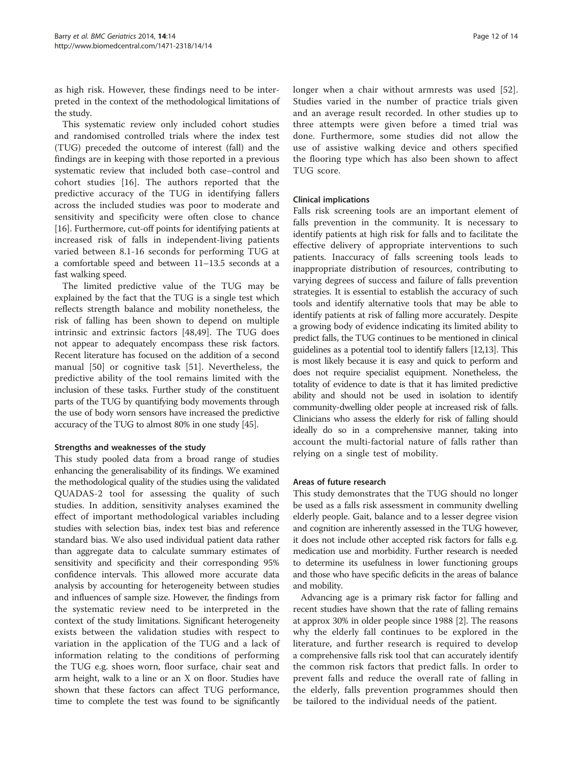as high risk. However, these findings need to be interpreted in the context of the methodological limitations of the study.

This systematic review only included cohort studies and randomised controlled trials where the index test (TUG) preceded the outcome of interest (fall) and the findings are in keeping with those reported in a previous systematic review that included both case–control and cohort studies [\[16](#page-12-0)]. The authors reported that the predictive accuracy of the TUG in identifying fallers across the included studies was poor to moderate and sensitivity and specificity were often close to chance [[16](#page-12-0)]. Furthermore, cut-off points for identifying patients at increased risk of falls in independent-living patients varied between 8.1-16 seconds for performing TUG at a comfortable speed and between 11–13.5 seconds at a fast walking speed.

The limited predictive value of the TUG may be explained by the fact that the TUG is a single test which reflects strength balance and mobility nonetheless, the risk of falling has been shown to depend on multiple intrinsic and extrinsic factors [\[48](#page-13-0),[49\]](#page-13-0). The TUG does not appear to adequately encompass these risk factors. Recent literature has focused on the addition of a second manual [[50\]](#page-13-0) or cognitive task [\[51](#page-13-0)]. Nevertheless, the predictive ability of the tool remains limited with the inclusion of these tasks. Further study of the constituent parts of the TUG by quantifying body movements through the use of body worn sensors have increased the predictive accuracy of the TUG to almost 80% in one study [\[45\]](#page-13-0).

# Strengths and weaknesses of the study

This study pooled data from a broad range of studies enhancing the generalisability of its findings. We examined the methodological quality of the studies using the validated QUADAS-2 tool for assessing the quality of such studies. In addition, sensitivity analyses examined the effect of important methodological variables including studies with selection bias, index test bias and reference standard bias. We also used individual patient data rather than aggregate data to calculate summary estimates of sensitivity and specificity and their corresponding 95% confidence intervals. This allowed more accurate data analysis by accounting for heterogeneity between studies and influences of sample size. However, the findings from the systematic review need to be interpreted in the context of the study limitations. Significant heterogeneity exists between the validation studies with respect to variation in the application of the TUG and a lack of information relating to the conditions of performing the TUG e.g. shoes worn, floor surface, chair seat and arm height, walk to a line or an X on floor. Studies have shown that these factors can affect TUG performance, time to complete the test was found to be significantly longer when a chair without armrests was used [\[52](#page-13-0)]. Studies varied in the number of practice trials given and an average result recorded. In other studies up to three attempts were given before a timed trial was done. Furthermore, some studies did not allow the use of assistive walking device and others specified the flooring type which has also been shown to affect TUG score.

# Clinical implications

Falls risk screening tools are an important element of falls prevention in the community. It is necessary to identify patients at high risk for falls and to facilitate the effective delivery of appropriate interventions to such patients. Inaccuracy of falls screening tools leads to inappropriate distribution of resources, contributing to varying degrees of success and failure of falls prevention strategies. It is essential to establish the accuracy of such tools and identify alternative tools that may be able to identify patients at risk of falling more accurately. Despite a growing body of evidence indicating its limited ability to predict falls, the TUG continues to be mentioned in clinical guidelines as a potential tool to identify fallers [\[12,13](#page-12-0)]. This is most likely because it is easy and quick to perform and does not require specialist equipment. Nonetheless, the totality of evidence to date is that it has limited predictive ability and should not be used in isolation to identify community-dwelling older people at increased risk of falls. Clinicians who assess the elderly for risk of falling should ideally do so in a comprehensive manner, taking into account the multi-factorial nature of falls rather than relying on a single test of mobility.

# Areas of future research

This study demonstrates that the TUG should no longer be used as a falls risk assessment in community dwelling elderly people. Gait, balance and to a lesser degree vision and cognition are inherently assessed in the TUG however, it does not include other accepted risk factors for falls e.g. medication use and morbidity. Further research is needed to determine its usefulness in lower functioning groups and those who have specific deficits in the areas of balance and mobility.

Advancing age is a primary risk factor for falling and recent studies have shown that the rate of falling remains at approx 30% in older people since 1988 [[2\]](#page-12-0). The reasons why the elderly fall continues to be explored in the literature, and further research is required to develop a comprehensive falls risk tool that can accurately identify the common risk factors that predict falls. In order to prevent falls and reduce the overall rate of falling in the elderly, falls prevention programmes should then be tailored to the individual needs of the patient.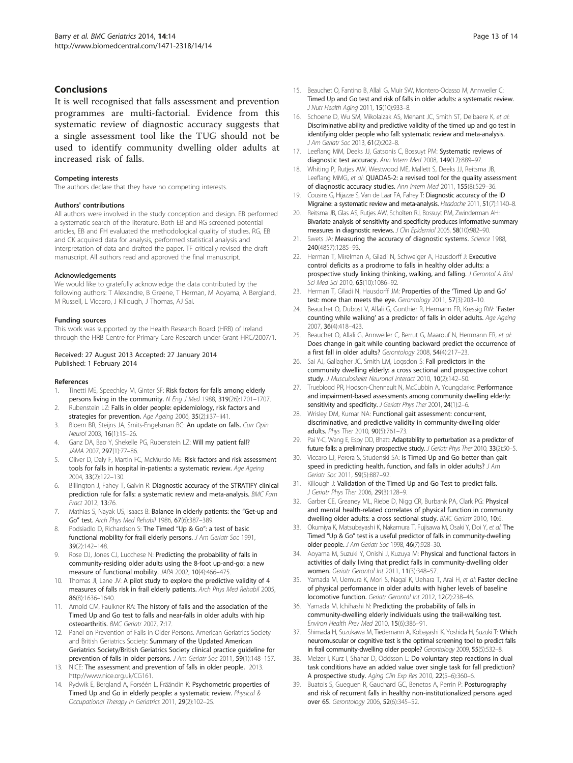# <span id="page-12-0"></span>Conclusions

It is well recognised that falls assessment and prevention programmes are multi-factorial. Evidence from this systematic review of diagnostic accuracy suggests that a single assessment tool like the TUG should not be used to identify community dwelling older adults at increased risk of falls.

#### Competing interests

The authors declare that they have no competing interests.

#### Authors' contributions

All authors were involved in the study conception and design. EB performed a systematic search of the literature. Both EB and RG screened potential articles, EB and FH evaluated the methodological quality of studies, RG, EB and CK acquired data for analysis, performed statistical analysis and interpretation of data and drafted the paper. TF critically revised the draft manuscript. All authors read and approved the final manuscript.

#### Acknowledgements

We would like to gratefully acknowledge the data contributed by the following authors: T Alexandre, B Greene, T Herman, M Aoyama, A Bergland, M Russell, L Viccaro, J Killough, J Thomas, AJ Sai.

#### Funding sources

This work was supported by the Health Research Board (HRB) of Ireland through the HRB Centre for Primary Care Research under Grant HRC/2007/1.

#### Received: 27 August 2013 Accepted: 27 January 2014 Published: 1 February 2014

#### References

- 1. Tinetti ME, Speechley M, Ginter SF: Risk factors for falls among elderly persons living in the community. N Eng J Med 1988, 319(26):1701–1707.
- 2. Rubenstein LZ: Falls in older people: epidemiology, risk factors and strategies for prevention. Age Ageing 2006, 35(2):ii37-ii41
- Bloem BR, Steijns JA, Smits-Engelsman BC: An update on falls. Curr Opin Neurol 2003, 16(1):15–26.
- Ganz DA, Bao Y, Shekelle PG, Rubenstein LZ: Will my patient fall? JAMA 2007, 297(1):77–86.
- 5. Oliver D, Daly F, Martin FC, McMurdo ME: Risk factors and risk assessment tools for falls in hospital in-patients: a systematic review. Age Ageing 2004, 33(2):122–130.
- Billington J, Fahey T, Galvin R: Diagnostic accuracy of the STRATIFY clinical prediction rule for falls: a systematic review and meta-analysis. BMC Fam Pract 2012, 13:76.
- 7. Mathias S, Nayak US, Isaacs B: Balance in elderly patients: the "Get-up and Go" test. Arch Phys Med Rehabil 1986, 67(6):387–389.
- 8. Podsiadlo D, Richardson S: The Timed "Up & Go": a test of basic functional mobility for frail elderly persons. J Am Geriatr Soc 1991, 39(2):142–148.
- 9. Rose DJ, Jones CJ, Lucchese N: Predicting the probability of falls in community-residing older adults using the 8-foot up-and-go: a new measure of functional mobility. JAPA 2002, 10(4):466–475.
- 10. Thomas JI, Lane JV: A pilot study to explore the predictive validity of 4 measures of falls risk in frail elderly patients. Arch Phys Med Rehabil 2005, 86(8):1636–1640.
- 11. Arnold CM, Faulkner RA: The history of falls and the association of the Timed Up and Go test to falls and near-falls in older adults with hip osteoarthritis. BMC Geriatr 2007, 7:17.
- 12. Panel on Prevention of Falls in Older Persons. American Geriatrics Society and British Geriatrics Society: Summary of the Updated American Geriatrics Society/British Geriatrics Society clinical practice guideline for prevention of falls in older persons. J Am Geriatr Soc 2011, 59(1):148-157.
- 13. NICE: The assessment and prevention of falls in older people. 2013. [http://www.nice.org.uk/CG161.](http://www.nice.org.uk/CG161)
- 14. Rydwik E, Bergland A, Forséén L, Fräändin K: Psychometric properties of Timed Up and Go in elderly people: a systematic review. Physical & Occupational Therapy in Geriatrics 2011, 29(2):102–25.
- 15. Beauchet O, Fantino B, Allali G, Muir SW, Montero-Odasso M, Annweiler C: Timed Up and Go test and risk of falls in older adults: a systematic review. J Nutr Health Aging 2011, 15(10):933–8.
- 16. Schoene D, Wu SM, Mikolaizak AS, Menant JC, Smith ST, Delbaere K, et al: Discriminative ability and predictive validity of the timed up and go test in identifying older people who fall: systematic review and meta-analysis. J Am Geriatr Soc 2013, 61(2):202–8.
- 17. Leeflang MM, Deeks JJ, Gatsonis C, Bossuyt PM: Systematic reviews of diagnostic test accuracy. Ann Intern Med 2008, 149(12):889–97.
- 18. Whiting P, Rutjes AW, Westwood ME, Mallett S, Deeks JJ, Reitsma JB, Leeflang MMG, et al: QUADAS-2: a revised tool for the quality assessment of diagnostic accuracy studies. Ann Intern Med 2011, 155(8):529–36.
- 19. Cousins G, Hijazze S, Van de Laar FA, Fahey T: Diagnostic accuracy of the ID Migraine: a systematic review and meta-analysis. Headache 2011, 51(7):1140–8.
- 20. Reitsma JB, Glas AS, Rutjes AW, Scholten RJ, Bossuyt PM, Zwinderman AH: Bivariate analysis of sensitivity and specificity produces informative summary measures in diagnostic reviews. J Clin Epidemiol 2005, 58(10):982–90.
- 21. Swets JA: Measuring the accuracy of diagnostic systems. Science 1988, 240(4857):1285–93.
- 22. Herman T, Mirelman A, Giladi N, Schweiger A, Hausdorff J: Executive control deficits as a prodrome to falls in healthy older adults: a prospective study linking thinking, walking, and falling. J Gerontol A Biol Sci Med Sci 2010, 65(10):1086-92.
- 23. Herman T, Giladi N, Hausdorff JM: Properties of the 'Timed Up and Go' test: more than meets the eye. Gerontology 2011, 57(3):203–10.
- 24. Beauchet O, Dubost V, Allali G, Gonthier R, Hermann FR, Kressig RW: 'Faster counting while walking' as a predictor of falls in older adults. Age Ageing 2007, 36(4):418–423.
- 25. Beauchet O, Allali G, Annweiler C, Berrut G, Maarouf N, Herrmann FR, et al: Does change in gait while counting backward predict the occurrence of a first fall in older adults? Gerontology 2008, 54(4):217–23.
- 26. Sai AJ, Gallagher JC, Smith LM, Logsdon S: Fall predictors in the community dwelling elderly: a cross sectional and prospective cohort study. J Musculoskelet Neuronal Interact 2010, 10(2):142-50.
- 27. Trueblood PR, Hodson-Chennault N, McCubbin A, Youngclarke: Performance and impairment-based assessments among community dwelling elderly: sensitivity and specificity. J Geriatr Phys Ther 2001, 24(1):2-6.
- 28. Wrisley DM, Kumar NA: Functional gait assessment: concurrent, discriminative, and predictive validity in community-dwelling older adults. Phys Ther 2010, 90(5):761–73.
- 29. Pai Y-C, Wang E, Espy DD, Bhatt: Adaptability to perturbation as a predictor of future falls: a preliminary prospective study. J Geriatr Phys Ther 2010, 33(2):50-5.
- 30. Viccaro LJ, Perera S, Studenski SA: Is Timed Up and Go better than gait speed in predicting health, function, and falls in older adults? J Am Geriatr Soc 2011, 59(5):887–92.
- 31. Killough J: Validation of the Timed Up and Go Test to predict falls. J Geriatr Phys Ther 2006, 29(3):128-9.
- 32. Garber CE, Greaney ML, Riebe D, Nigg CR, Burbank PA, Clark PG: Physical and mental health-related correlates of physical function in community dwelling older adults: a cross sectional study. BMC Geriatr 2010, 10:6.
- 33. Okumiya K, Matsubayashi K, Nakamura T, Fujisawa M, Osaki Y, Doi Y, et al: The Timed "Up & Go" test is a useful predictor of falls in community-dwelling older people. J Am Geriatr Soc 1998, 46(7):928–30.
- 34. Aoyama M, Suzuki Y, Onishi J, Kuzuya M: Physical and functional factors in activities of daily living that predict falls in community-dwelling older women. Geriatr Gerontol Int 2011, 11(3):348–57.
- Yamada M, Uemura K, Mori S, Nagai K, Uehara T, Arai H, et al: Faster decline of physical performance in older adults with higher levels of baseline locomotive function. Geriatr Gerontol Int 2012, 12(2):238–46.
- 36. Yamada M, Ichihashi N: Predicting the probability of falls in community-dwelling elderly individuals using the trail-walking test. Environ Health Prev Med 2010, 15(6):386–91.
- 37. Shimada H, Suzukawa M, Tiedemann A, Kobayashi K, Yoshida H, Suzuki T: Which neuromuscular or cognitive test is the optimal screening tool to predict falls in frail community-dwelling older people? Gerontology 2009, 55(5):532–8.
- 38. Melzer I, Kurz I, Shahar D, Oddsson L: Do voluntary step reactions in dual task conditions have an added value over single task for fall prediction? A prospective study. Aging Clin Exp Res 2010, 22(5–6):360–6.
- 39. Buatois S, Gueguen R, Gauchard GC, Benetos A, Perrin P: Posturography and risk of recurrent falls in healthy non-institutionalized persons aged over 65. Gerontology 2006, 52(6):345–52.